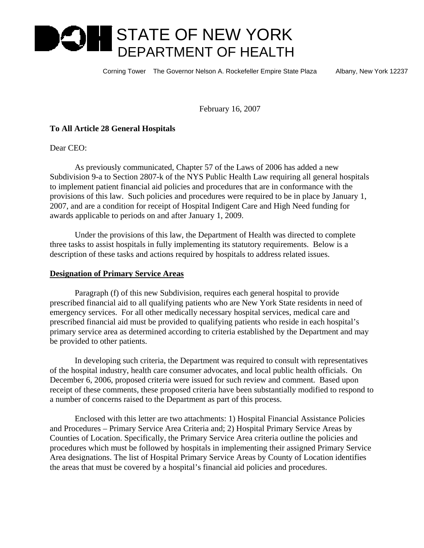# **STATE OF NEW YORK** DEPARTMENT OF HEALTH

Corning Tower The Governor Nelson A. Rockefeller Empire State Plaza Albany, New York 12237

February 16, 2007

## **To All Article 28 General Hospitals**

Dear CEO:

 As previously communicated, Chapter 57 of the Laws of 2006 has added a new Subdivision 9-a to Section 2807-k of the NYS Public Health Law requiring all general hospitals to implement patient financial aid policies and procedures that are in conformance with the provisions of this law. Such policies and procedures were required to be in place by January 1, 2007, and are a condition for receipt of Hospital Indigent Care and High Need funding for awards applicable to periods on and after January 1, 2009.

 Under the provisions of this law, the Department of Health was directed to complete three tasks to assist hospitals in fully implementing its statutory requirements. Below is a description of these tasks and actions required by hospitals to address related issues.

### **Designation of Primary Service Areas**

 Paragraph (f) of this new Subdivision, requires each general hospital to provide prescribed financial aid to all qualifying patients who are New York State residents in need of emergency services. For all other medically necessary hospital services, medical care and prescribed financial aid must be provided to qualifying patients who reside in each hospital's primary service area as determined according to criteria established by the Department and may be provided to other patients.

 In developing such criteria, the Department was required to consult with representatives of the hospital industry, health care consumer advocates, and local public health officials. On December 6, 2006, proposed criteria were issued for such review and comment. Based upon receipt of these comments, these proposed criteria have been substantially modified to respond to a number of concerns raised to the Department as part of this process.

 Enclosed with this letter are two attachments: 1) Hospital Financial Assistance Policies and Procedures – Primary Service Area Criteria and; 2) Hospital Primary Service Areas by Counties of Location. Specifically, the Primary Service Area criteria outline the policies and procedures which must be followed by hospitals in implementing their assigned Primary Service Area designations. The list of Hospital Primary Service Areas by County of Location identifies the areas that must be covered by a hospital's financial aid policies and procedures.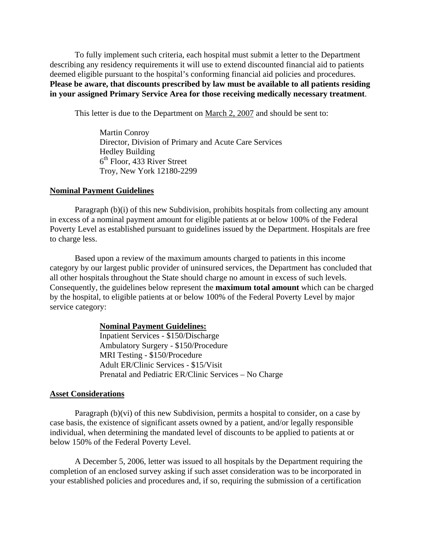To fully implement such criteria, each hospital must submit a letter to the Department describing any residency requirements it will use to extend discounted financial aid to patients deemed eligible pursuant to the hospital's conforming financial aid policies and procedures. **Please be aware, that discounts prescribed by law must be available to all patients residing in your assigned Primary Service Area for those receiving medically necessary treatment**.

This letter is due to the Department on March 2, 2007 and should be sent to:

 Martin Conroy Director, Division of Primary and Acute Care Services Hedley Building  $6<sup>th</sup>$  Floor, 433 River Street Troy, New York 12180-2299

#### **Nominal Payment Guidelines**

 Paragraph (b)(i) of this new Subdivision, prohibits hospitals from collecting any amount in excess of a nominal payment amount for eligible patients at or below 100% of the Federal Poverty Level as established pursuant to guidelines issued by the Department. Hospitals are free to charge less.

 Based upon a review of the maximum amounts charged to patients in this income category by our largest public provider of uninsured services, the Department has concluded that all other hospitals throughout the State should charge no amount in excess of such levels. Consequently, the guidelines below represent the **maximum total amount** which can be charged by the hospital, to eligible patients at or below 100% of the Federal Poverty Level by major service category:

#### **Nominal Payment Guidelines:**

Inpatient Services - \$150/Discharge Ambulatory Surgery - \$150/Procedure MRI Testing - \$150/Procedure Adult ER/Clinic Services - \$15/Visit Prenatal and Pediatric ER/Clinic Services – No Charge

#### **Asset Considerations**

 Paragraph (b)(vi) of this new Subdivision, permits a hospital to consider, on a case by case basis, the existence of significant assets owned by a patient, and/or legally responsible individual, when determining the mandated level of discounts to be applied to patients at or below 150% of the Federal Poverty Level.

 A December 5, 2006, letter was issued to all hospitals by the Department requiring the completion of an enclosed survey asking if such asset consideration was to be incorporated in your established policies and procedures and, if so, requiring the submission of a certification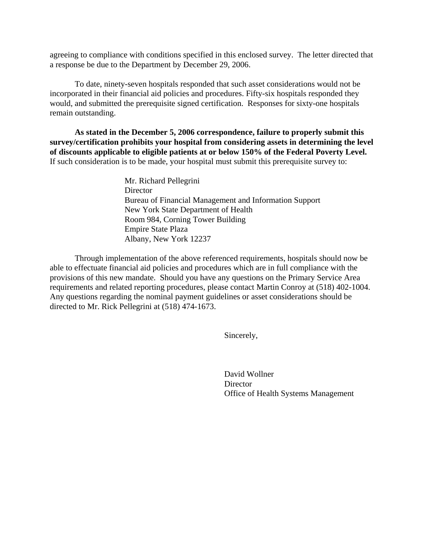agreeing to compliance with conditions specified in this enclosed survey. The letter directed that a response be due to the Department by December 29, 2006.

 To date, ninety-seven hospitals responded that such asset considerations would not be incorporated in their financial aid policies and procedures. Fifty-six hospitals responded they would, and submitted the prerequisite signed certification. Responses for sixty-one hospitals remain outstanding.

**As stated in the December 5, 2006 correspondence, failure to properly submit this survey/certification prohibits your hospital from considering assets in determining the level of discounts applicable to eligible patients at or below 150% of the Federal Poverty Level.**  If such consideration is to be made, your hospital must submit this prerequisite survey to:

> Mr. Richard Pellegrini **Director** Bureau of Financial Management and Information Support New York State Department of Health Room 984, Corning Tower Building Empire State Plaza Albany, New York 12237

 Through implementation of the above referenced requirements, hospitals should now be able to effectuate financial aid policies and procedures which are in full compliance with the provisions of this new mandate. Should you have any questions on the Primary Service Area requirements and related reporting procedures, please contact Martin Conroy at (518) 402-1004. Any questions regarding the nominal payment guidelines or asset considerations should be directed to Mr. Rick Pellegrini at (518) 474-1673.

Sincerely,

 David Wollner **Director** Office of Health Systems Management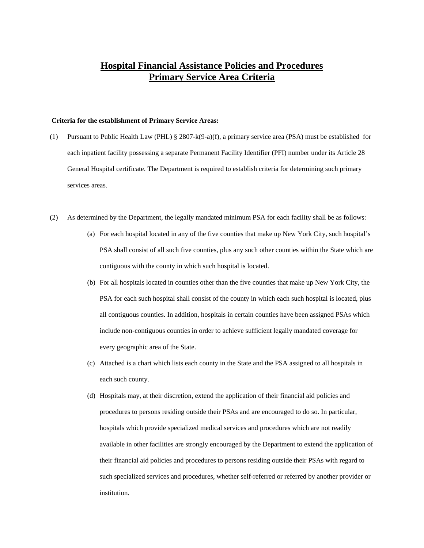## **Hospital Financial Assistance Policies and Procedures Primary Service Area Criteria**

#### **Criteria for the establishment of Primary Service Areas:**

- (1) Pursuant to Public Health Law (PHL) § 2807-k(9-a)(f), a primary service area (PSA) must be established for each inpatient facility possessing a separate Permanent Facility Identifier (PFI) number under its Article 28 General Hospital certificate. The Department is required to establish criteria for determining such primary services areas.
- (2) As determined by the Department, the legally mandated minimum PSA for each facility shall be as follows:
	- (a) For each hospital located in any of the five counties that make up New York City, such hospital's PSA shall consist of all such five counties, plus any such other counties within the State which are contiguous with the county in which such hospital is located.
	- (b) For all hospitals located in counties other than the five counties that make up New York City, the PSA for each such hospital shall consist of the county in which each such hospital is located, plus all contiguous counties. In addition, hospitals in certain counties have been assigned PSAs which include non-contiguous counties in order to achieve sufficient legally mandated coverage for every geographic area of the State.
	- (c) Attached is a chart which lists each county in the State and the PSA assigned to all hospitals in each such county.
	- (d) Hospitals may, at their discretion, extend the application of their financial aid policies and procedures to persons residing outside their PSAs and are encouraged to do so. In particular, hospitals which provide specialized medical services and procedures which are not readily available in other facilities are strongly encouraged by the Department to extend the application of their financial aid policies and procedures to persons residing outside their PSAs with regard to such specialized services and procedures, whether self-referred or referred by another provider or institution.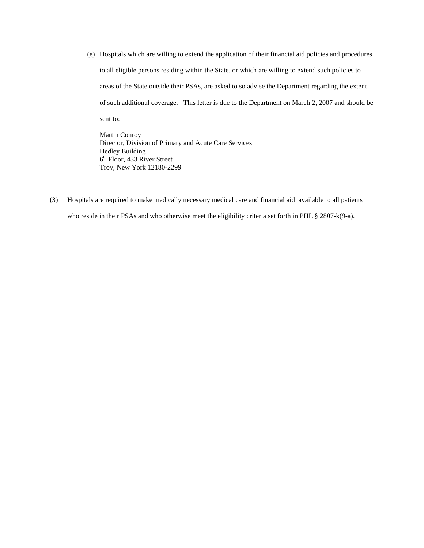(e) Hospitals which are willing to extend the application of their financial aid policies and procedures to all eligible persons residing within the State, or which are willing to extend such policies to areas of the State outside their PSAs, are asked to so advise the Department regarding the extent of such additional coverage. This letter is due to the Department on March 2, 2007 and should be sent to:

Martin Conroy Director, Division of Primary and Acute Care Services Hedley Building 6<sup>th</sup> Floor, 433 River Street Troy, New York 12180-2299

(3) Hospitals are required to make medically necessary medical care and financial aid available to all patients who reside in their PSAs and who otherwise meet the eligibility criteria set forth in PHL § 2807-k(9-a).